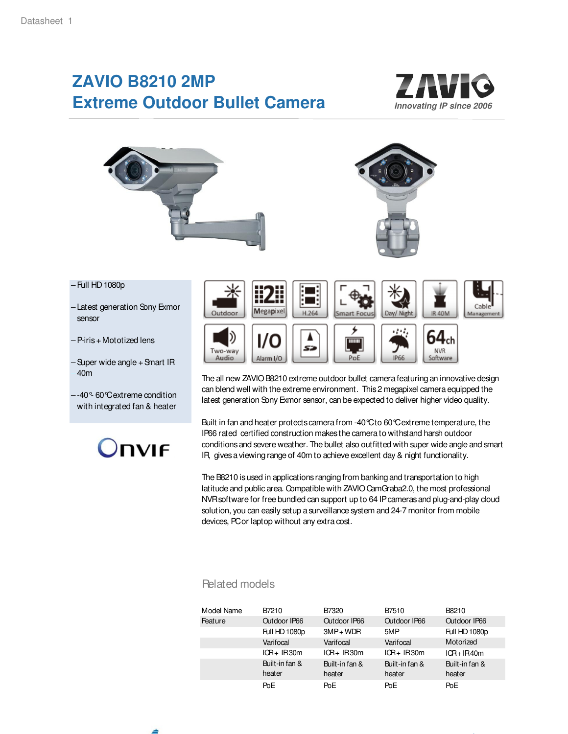# **ZAVIO B8210 2MP Extreme Outdoor Bullet Camera**





- Full HD 1080p
- Latest generation Sony Exmor sensor
- P-iris + Mototized lens
- Super wide angle + Smart IR – 40m
- -40°- 60°C extreme condition with integrated fan & heater





The all new ZAVIO B8210 extreme outdoor bullet camera featuring an innovative design can blend well with the extreme environment. This 2 megapixel camera equipped the latest generation Sony Exmor sensor, can be expected to deliver higher video quality.

Built in fan and heater protects camera from -40°C to 60°C extreme temperature, the IP66 rated certified construction makes the camera to withstand harsh outdoor conditions and severe weather. The bullet also outfitted with super wide angle and smart IR, gives a viewing range of 40m to achieve excellent day & night functionality.

The B8210 is used in applications ranging from banking and transportation to high latitude and public area. Compatible with ZAVIO CamGraba2.0, the most professional NVR software for free bundled can support up to 64 IP cameras and plug-and-play cloud solution, you can easily setup a surveillance system and 24-7 monitor from mobile devices, PC or laptop without any extra cost.

### Related models

| Model Name | B7210           | B7320          | B7510               | B8210               |
|------------|-----------------|----------------|---------------------|---------------------|
| Feature    | Qutdoor IP66    | Qutdoor IP66   | <b>Outdoor IP66</b> | <b>Outdoor IP66</b> |
|            | Full HD 1080p   | $3MP + WDR$    | 5MP                 | Full HD 1080p       |
|            | Varifocal       | Varifocal      | Varifocal           | Motorized           |
|            | $ICR+IR30m$     | $ICR+IR30m$    | $ICR+IR30m$         | $ICR+IR40m$         |
|            | Built-in fan &  | Built-in fan & | Built-in fan &      | Built-in fan &      |
|            | heater          | heater         | heater              | heater              |
|            | Po <sub>E</sub> | PoE            | PoE                 | PoE                 |

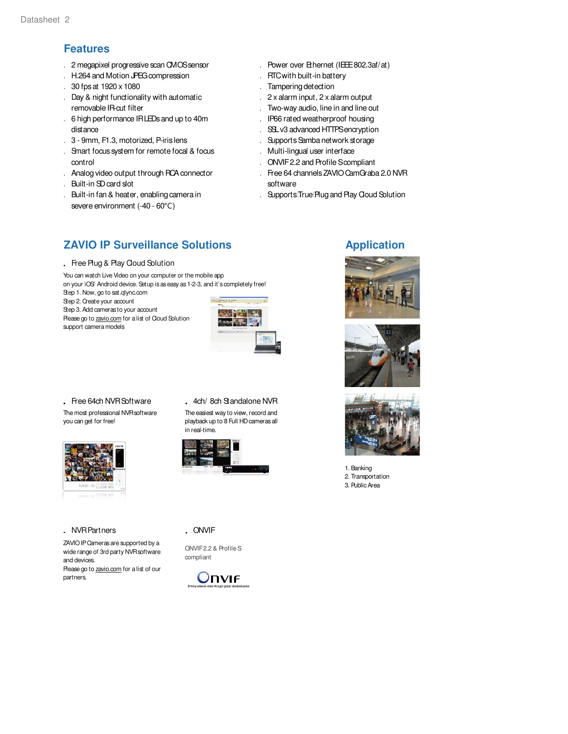## **Features**

- . 2 megapixel progressive scan CMOS sensor
- . H.264 and Motion JPEG compression
- . 30 fps at 1920 x 1080
- . Day & night functionality with automatic . removable IR-cut filter
- . 6 high performance IR LEDs and up to 40m distance
- . 3 9mm, F1.3, motorized, P-iris lens
- . Smart focus system for remote focal & focus . control
- . Analog video output through RCA connector
- . Built-in SD card slot
- . Built-in fan & heater, enabling camera in severe environment (-40 - 60°C)
- . Power over Ethernet (IEEE 802.3af/at)
- . RTC with built-in battery
- . Tampering detection
- . 2 x alarm input, 2 x alarm output
- . Two-way audio, line in and line out
- . IP66 rated weatherproof housing
- . SSL v3 advanced HTTPS encryption
- . Supports Samba network storage
- . Multi-lingual user interface
- . ONVIF 2.2 and Profile Scompliant
- . Free 64 channels ZAVIO CamGraba 2.0 NVR . software
- . Supports True Plug and Play Cloud Solution

## **ZAVIO IP Surveillance Solutions Application**

. Free Plug & Play Cloud Solution

You can watch Live Video on your computer or the mobile app on your iOS' Android device. Setup is as easy as 1-2-3, and it's completely free! Step 1. Now, go to sat.qlync.com

Step 2. Create your account Step 3. Add cameras to your account Please go to zavio.com for a list of Cloud Solution support camera models



. Free 64ch NVR Software . 4ch/8ch Standalone NVR The most professional NVR software you can get for free!



#### . NVR Partners

ZAVIO IP Cameras are supported by a wide range of 3rd party NVR software and devices.

Please go to zavio.com for a list of our partners.

The easiest way to view, record and playback up to 8 Full HD cameras all in real-time.



. ONVIF

ONVIF 2.2 & Profile S compliant









1. Banking 2. Transportation 3. Public Area